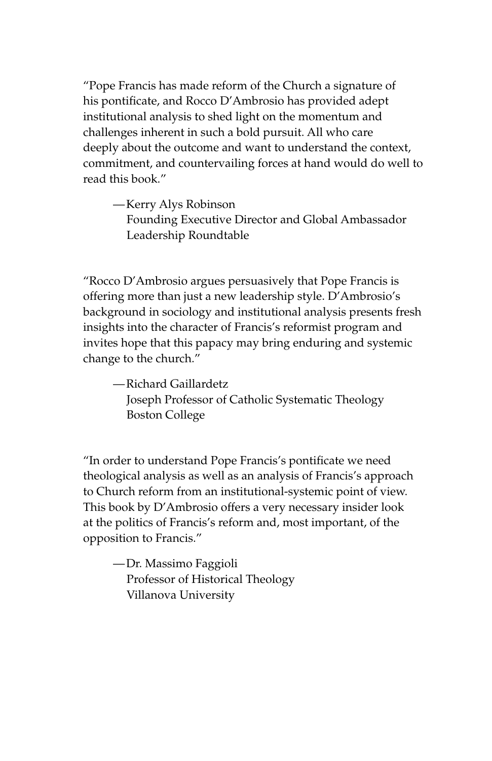"Pope Francis has made reform of the Church a signature of his pontificate, and Rocco D'Ambrosio has provided adept institutional analysis to shed light on the momentum and challenges inherent in such a bold pursuit. All who care deeply about the outcome and want to understand the context, commitment, and countervailing forces at hand would do well to read this book."

—Kerry Alys Robinson Founding Executive Director and Global Ambassador Leadership Roundtable

"Rocco D'Ambrosio argues persuasively that Pope Francis is offering more than just a new leadership style. D'Ambrosio's background in sociology and institutional analysis presents fresh insights into the character of Francis's reformist program and invites hope that this papacy may bring enduring and systemic change to the church."

—Richard Gaillardetz Joseph Professor of Catholic Systematic Theology Boston College

"In order to understand Pope Francis's pontificate we need theological analysis as well as an analysis of Francis's approach to Church reform from an institutional-systemic point of view. This book by D'Ambrosio offers a very necessary insider look at the politics of Francis's reform and, most important, of the opposition to Francis."

—Dr. Massimo Faggioli Professor of Historical Theology Villanova University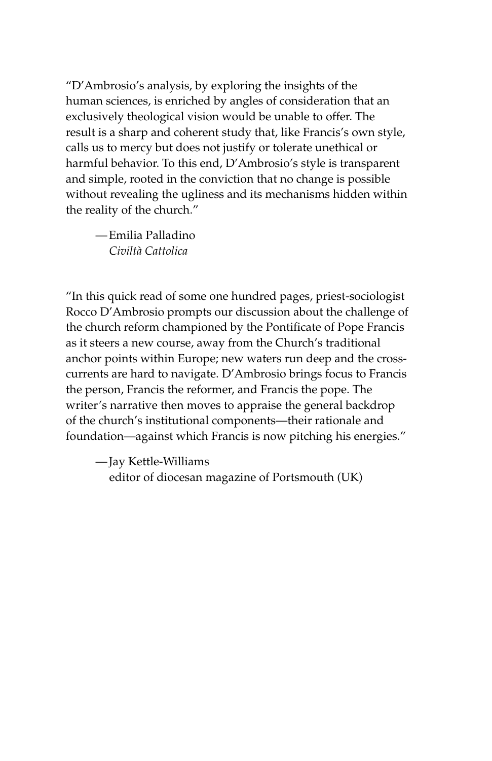"D'Ambrosio's analysis, by exploring the insights of the human sciences, is enriched by angles of consideration that an exclusively theological vision would be unable to offer. The result is a sharp and coherent study that, like Francis's own style, calls us to mercy but does not justify or tolerate unethical or harmful behavior. To this end, D'Ambrosio's style is transparent and simple, rooted in the conviction that no change is possible without revealing the ugliness and its mechanisms hidden within the reality of the church."

—Emilia Palladino *Civiltà Cattolica*

"In this quick read of some one hundred pages, priest-sociologist Rocco D'Ambrosio prompts our discussion about the challenge of the church reform championed by the Pontificate of Pope Francis as it steers a new course, away from the Church's traditional anchor points within Europe; new waters run deep and the crosscurrents are hard to navigate. D'Ambrosio brings focus to Francis the person, Francis the reformer, and Francis the pope. The writer's narrative then moves to appraise the general backdrop of the church's institutional components—their rationale and foundation—against which Francis is now pitching his energies."

—Jay Kettle-Williams

editor of diocesan magazine of Portsmouth (UK)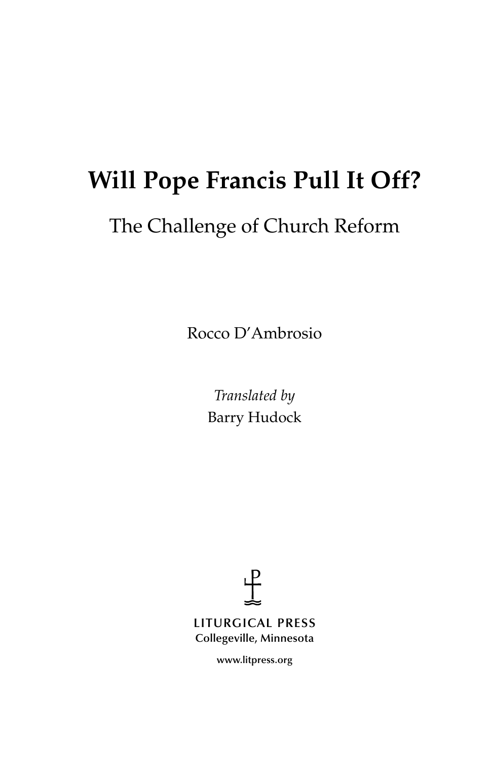# **Will Pope Francis Pull It Off?**

## The Challenge of Church Reform

Rocco D'Ambrosio

*Translated by* Barry Hudock



**www.litpress.org**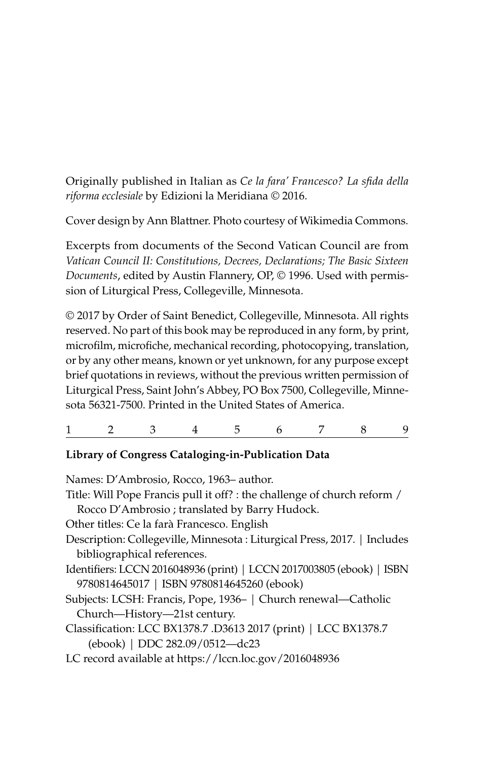Originally published in Italian as *Ce la fara' Francesco? La sfida della riforma ecclesiale* by Edizioni la Meridiana © 2016.

Cover design by Ann Blattner. Photo courtesy of Wikimedia Commons.

Excerpts from documents of the Second Vatican Council are from *Vatican Council II: Constitutions, Decrees, Declarations; The Basic Sixteen Documents*, edited by Austin Flannery, OP, © 1996. Used with permission of Liturgical Press, Collegeville, Minnesota.

© 2017 by Order of Saint Benedict, Collegeville, Minnesota. All rights reserved. No part of this book may be reproduced in any form, by print, microfilm, microfiche, mechanical recording, photocopying, translation, or by any other means, known or yet unknown, for any purpose except brief quotations in reviews, without the previous written permission of Liturgical Press, Saint John's Abbey, PO Box 7500, Collegeville, Minnesota 56321-7500. Printed in the United States of America.

| $\begin{array}{cccccccccccccc} 1 & 2 & 3 & 4 & 5 & 6 & 7 & 8 & 9 \end{array}$ |  |  |  |  |  |  |  |  |  |
|-------------------------------------------------------------------------------|--|--|--|--|--|--|--|--|--|
|-------------------------------------------------------------------------------|--|--|--|--|--|--|--|--|--|

#### **Library of Congress Cataloging-in-Publication Data**

| Names: D'Ambrosio, Rocco, 1963- author.                                   |
|---------------------------------------------------------------------------|
| Title: Will Pope Francis pull it off? : the challenge of church reform /  |
| Rocco D'Ambrosio ; translated by Barry Hudock.                            |
| Other titles: Ce la farà Francesco. English                               |
| Description: Collegeville, Minnesota : Liturgical Press, 2017.   Includes |
| bibliographical references.                                               |
| Identifiers: LCCN 2016048936 (print)   LCCN 2017003805 (ebook)   ISBN     |
| 9780814645017   ISBN 9780814645260 (ebook)                                |
| Subjects: LCSH: Francis, Pope, 1936-   Church renewal-Catholic            |
| Church-History-21st century.                                              |
| Classification: LCC BX1378.7 .D3613 2017 (print)   LCC BX1378.7           |
| (ebook)   DDC 282.09/0512-dc23                                            |
| LC record available at https://lccn.loc.gov/2016048936                    |
|                                                                           |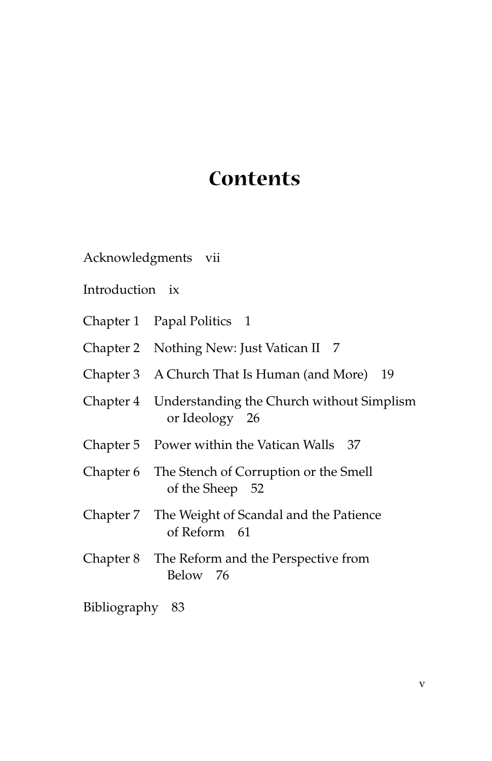### **Contents**

Acknowledgments vii

Introduction ix

- Chapter 1 Papal Politics 1
- Chapter 2 Nothing New: Just Vatican II 7
- Chapter 3 A Church That Is Human (and More) 19
- Chapter 4 Understanding the Church without Simplism or Ideology 26
- Chapter 5 Power within the Vatican Walls 37
- Chapter 6 The Stench of Corruption or the Smell of the Sheep 52
- Chapter 7 The Weight of Scandal and the Patience of Reform 61
- Chapter 8 The Reform and the Perspective from Below 76

#### Bibliography 83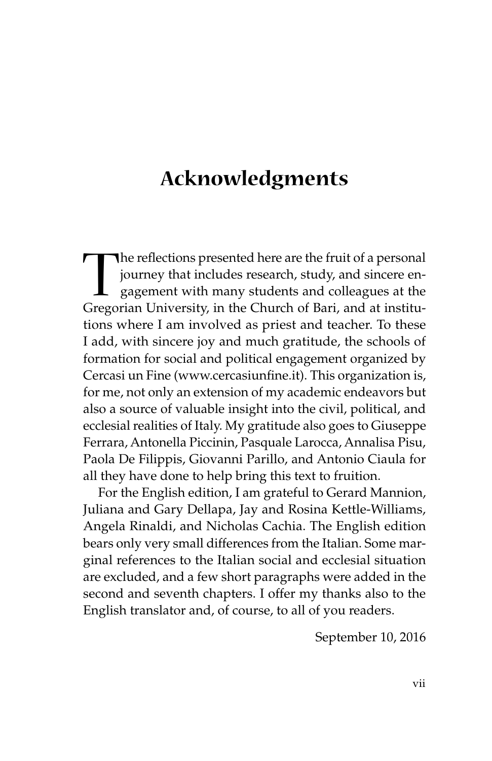### **Acknowledgments**

The reflections presented here are the fruit of a personal<br>journey that includes research, study, and sincere en-<br>gagement with many students and colleagues at the<br>Gregorian University. in the Church of Bari. and at instit journey that includes research, study, and sincere engagement with many students and colleagues at the Gregorian University, in the Church of Bari, and at institutions where I am involved as priest and teacher. To these I add, with sincere joy and much gratitude, the schools of formation for social and political engagement organized by Cercasi un Fine (www.cercasiunfine.it). This organization is, for me, not only an extension of my academic endeavors but also a source of valuable insight into the civil, political, and ecclesial realities of Italy. My gratitude also goes to Giuseppe Ferrara, Antonella Piccinin, Pasquale Larocca, Annalisa Pisu, Paola De Filippis, Giovanni Parillo, and Antonio Ciaula for all they have done to help bring this text to fruition.

For the English edition, I am grateful to Gerard Mannion, Juliana and Gary Dellapa, Jay and Rosina Kettle-Williams, Angela Rinaldi, and Nicholas Cachia. The English edition bears only very small differences from the Italian. Some marginal references to the Italian social and ecclesial situation are excluded, and a few short paragraphs were added in the second and seventh chapters. I offer my thanks also to the English translator and, of course, to all of you readers.

September 10, 2016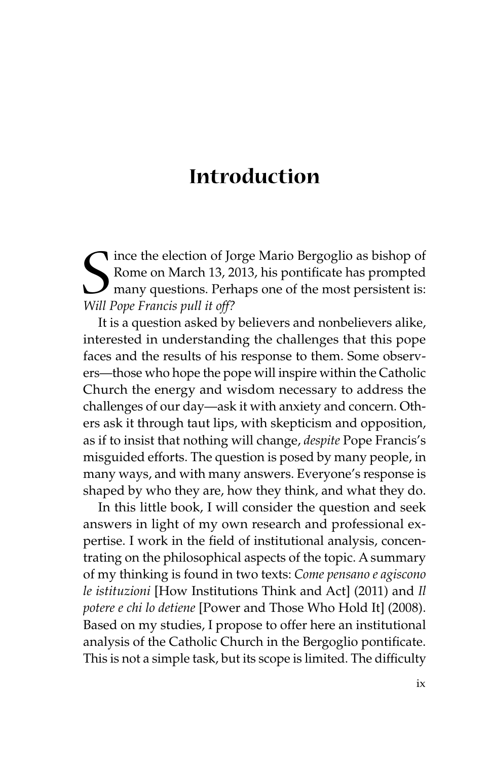### **Introduction**

Since the election of Jorge Mario Bergoglio as bishop of<br>Rome on March 13, 2013, his pontificate has prompted<br>many questions. Perhaps one of the most persistent is:<br>Will Pope Francis pull it off? Rome on March 13, 2013, his pontificate has prompted **I** many questions. Perhaps one of the most persistent is: *Will Pope Francis pull it off?*

It is a question asked by believers and nonbelievers alike, interested in understanding the challenges that this pope faces and the results of his response to them. Some observers—those who hope the pope will inspire within the Catholic Church the energy and wisdom necessary to address the challenges of our day—ask it with anxiety and concern. Others ask it through taut lips, with skepticism and opposition, as if to insist that nothing will change, *despite* Pope Francis's misguided efforts. The question is posed by many people, in many ways, and with many answers. Everyone's response is shaped by who they are, how they think, and what they do.

In this little book, I will consider the question and seek answers in light of my own research and professional expertise. I work in the field of institutional analysis, concentrating on the philosophical aspects of the topic. A summary of my thinking is found in two texts: *Come pensano e agiscono le istituzioni* [How Institutions Think and Act] (2011) and *Il potere e chi lo detiene* [Power and Those Who Hold It] (2008). Based on my studies, I propose to offer here an institutional analysis of the Catholic Church in the Bergoglio pontificate. This is not a simple task, but its scope is limited. The difficulty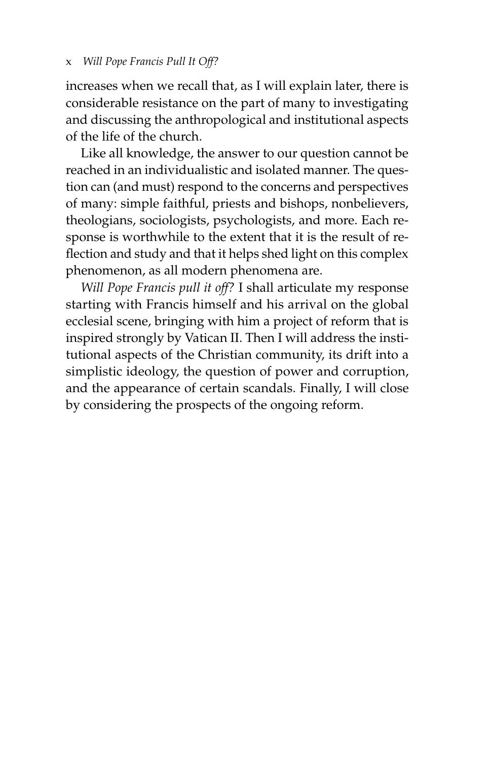increases when we recall that, as I will explain later, there is considerable resistance on the part of many to investigating and discussing the anthropological and institutional aspects of the life of the church.

Like all knowledge, the answer to our question cannot be reached in an individualistic and isolated manner. The question can (and must) respond to the concerns and perspectives of many: simple faithful, priests and bishops, nonbelievers, theologians, sociologists, psychologists, and more. Each response is worthwhile to the extent that it is the result of reflection and study and that it helps shed light on this complex phenomenon, as all modern phenomena are.

*Will Pope Francis pull it off?* I shall articulate my response starting with Francis himself and his arrival on the global ecclesial scene, bringing with him a project of reform that is inspired strongly by Vatican II. Then I will address the institutional aspects of the Christian community, its drift into a simplistic ideology, the question of power and corruption, and the appearance of certain scandals. Finally, I will close by considering the prospects of the ongoing reform.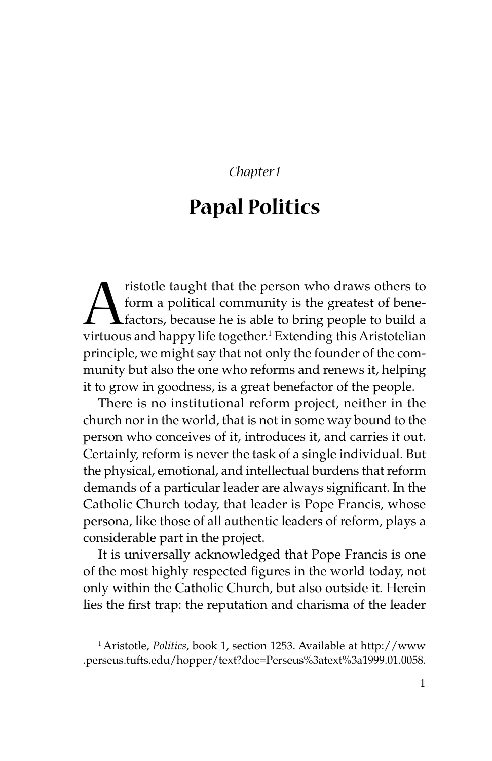*Chapter 1*

### **Papal Politics**

 $\sum$  ristotle taught that the person who draws others to<br>form a political community is the greatest of bene-<br>factors, because he is able to bring people to build a<br>virtuous and happy life together.<sup>1</sup> Extending this Arist form a political community is the greatest of bene- $\blacktriangle$  factors, because he is able to bring people to build a virtuous and happy life together.<sup>1</sup> Extending this Aristotelian principle, we might say that not only the founder of the community but also the one who reforms and renews it, helping it to grow in goodness, is a great benefactor of the people.

There is no institutional reform project, neither in the church nor in the world, that is not in some way bound to the person who conceives of it, introduces it, and carries it out. Certainly, reform is never the task of a single individual. But the physical, emotional, and intellectual burdens that reform demands of a particular leader are always significant. In the Catholic Church today, that leader is Pope Francis, whose persona, like those of all authentic leaders of reform, plays a considerable part in the project.

It is universally acknowledged that Pope Francis is one of the most highly respected figures in the world today, not only within the Catholic Church, but also outside it. Herein lies the first trap: the reputation and charisma of the leader

<sup>1</sup> Aristotle, *Politics*, book 1, section 1253. Available at http://www .perseus.tufts.edu/hopper/text?doc=Perseus%3atext%3a1999.01.0058.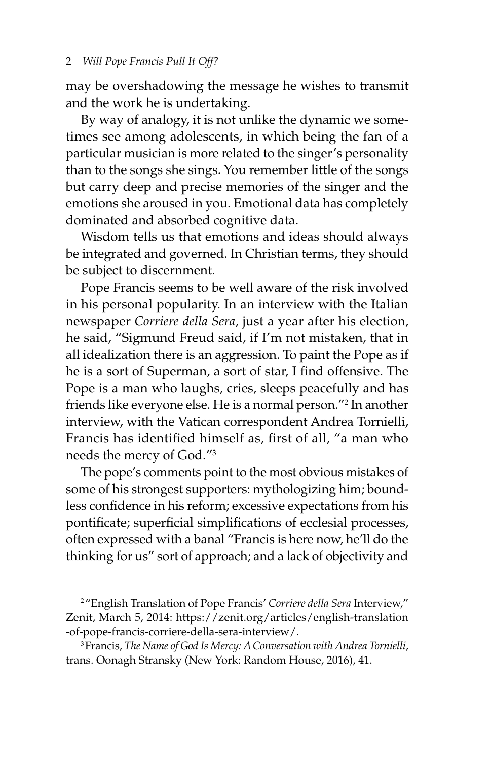may be overshadowing the message he wishes to transmit and the work he is undertaking.

By way of analogy, it is not unlike the dynamic we sometimes see among adolescents, in which being the fan of a particular musician is more related to the singer's personality than to the songs she sings. You remember little of the songs but carry deep and precise memories of the singer and the emotions she aroused in you. Emotional data has completely dominated and absorbed cognitive data.

Wisdom tells us that emotions and ideas should always be integrated and governed. In Christian terms, they should be subject to discernment.

Pope Francis seems to be well aware of the risk involved in his personal popularity. In an interview with the Italian newspaper *Corriere della Sera*, just a year after his election, he said, "Sigmund Freud said, if I'm not mistaken, that in all idealization there is an aggression. To paint the Pope as if he is a sort of Superman, a sort of star, I find offensive. The Pope is a man who laughs, cries, sleeps peacefully and has friends like everyone else. He is a normal person."2 In another interview, with the Vatican correspondent Andrea Tornielli, Francis has identified himself as, first of all, "a man who needs the mercy of God."3

The pope's comments point to the most obvious mistakes of some of his strongest supporters: mythologizing him; boundless confidence in his reform; excessive expectations from his pontificate; superficial simplifications of ecclesial processes, often expressed with a banal "Francis is here now, he'll do the thinking for us" sort of approach; and a lack of objectivity and

2 "English Translation of Pope Francis' *Corriere della Sera* Interview," Zenit, March 5, 2014: https://zenit.org/articles/english-translation -of-pope-francis-corriere-della-sera-interview/.

3 Francis, *The Name of God Is Mercy: A Conversation with Andrea Tornielli*, trans. Oonagh Stransky (New York: Random House, 2016), 41.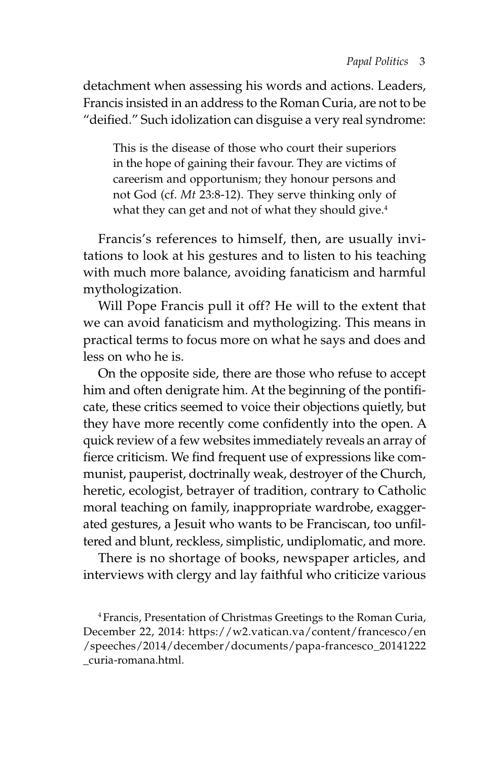detachment when assessing his words and actions. Leaders, Francis insisted in an address to the Roman Curia, are not to be "deified." Such idolization can disguise a very real syndrome:

This is the disease of those who court their superiors in the hope of gaining their favour. They are victims of careerism and opportunism; they honour persons and not God (cf. *Mt* 23:8-12). They serve thinking only of what they can get and not of what they should give.<sup>4</sup>

Francis's references to himself, then, are usually invitations to look at his gestures and to listen to his teaching with much more balance, avoiding fanaticism and harmful mythologization.

Will Pope Francis pull it off? He will to the extent that we can avoid fanaticism and mythologizing. This means in practical terms to focus more on what he says and does and less on who he is.

On the opposite side, there are those who refuse to accept him and often denigrate him. At the beginning of the pontificate, these critics seemed to voice their objections quietly, but they have more recently come confidently into the open. A quick review of a few websites immediately reveals an array of fierce criticism. We find frequent use of expressions like communist, pauperist, doctrinally weak, destroyer of the Church, heretic, ecologist, betrayer of tradition, contrary to Catholic moral teaching on family, inappropriate wardrobe, exaggerated gestures, a Jesuit who wants to be Franciscan, too unfiltered and blunt, reckless, simplistic, undiplomatic, and more.

There is no shortage of books, newspaper articles, and interviews with clergy and lay faithful who criticize various

4 Francis, Presentation of Christmas Greetings to the Roman Curia, December 22, 2014: https://w2.vatican.va/content/francesco/en /speeches/2014/december/documents/papa-francesco\_20141222 \_curia-romana.html.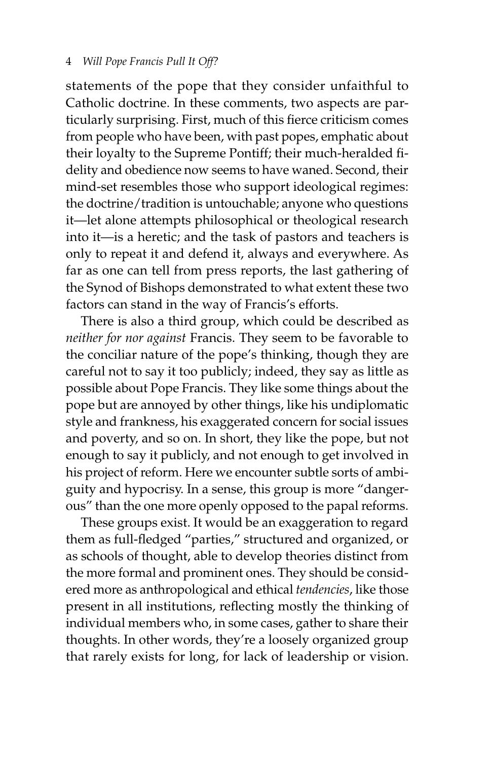statements of the pope that they consider unfaithful to Catholic doctrine. In these comments, two aspects are particularly surprising. First, much of this fierce criticism comes from people who have been, with past popes, emphatic about their loyalty to the Supreme Pontiff; their much-heralded fidelity and obedience now seems to have waned. Second, their mind-set resembles those who support ideological regimes: the doctrine/tradition is untouchable; anyone who questions it—let alone attempts philosophical or theological research into it—is a heretic; and the task of pastors and teachers is only to repeat it and defend it, always and everywhere. As far as one can tell from press reports, the last gathering of the Synod of Bishops demonstrated to what extent these two factors can stand in the way of Francis's efforts.

There is also a third group, which could be described as *neither for nor against* Francis. They seem to be favorable to the conciliar nature of the pope's thinking, though they are careful not to say it too publicly; indeed, they say as little as possible about Pope Francis. They like some things about the pope but are annoyed by other things, like his undiplomatic style and frankness, his exaggerated concern for social issues and poverty, and so on. In short, they like the pope, but not enough to say it publicly, and not enough to get involved in his project of reform. Here we encounter subtle sorts of ambiguity and hypocrisy. In a sense, this group is more "dangerous" than the one more openly opposed to the papal reforms.

These groups exist. It would be an exaggeration to regard them as full-fledged "parties," structured and organized, or as schools of thought, able to develop theories distinct from the more formal and prominent ones. They should be considered more as anthropological and ethical *tendencies*, like those present in all institutions, reflecting mostly the thinking of individual members who, in some cases, gather to share their thoughts. In other words, they're a loosely organized group that rarely exists for long, for lack of leadership or vision.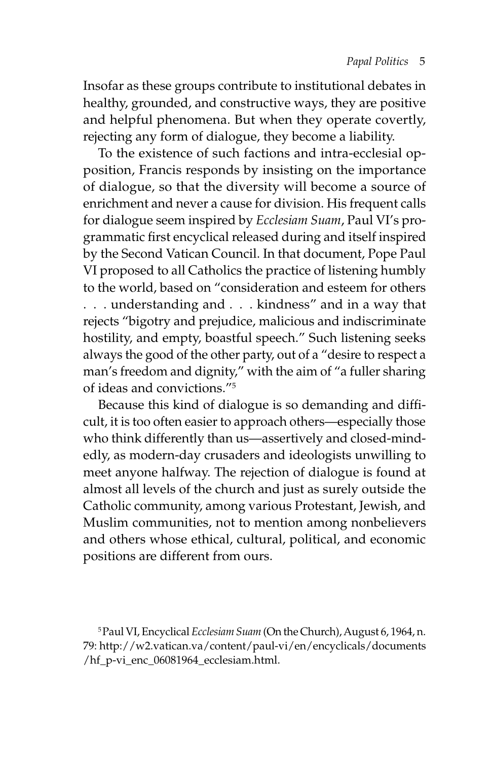Insofar as these groups contribute to institutional debates in healthy, grounded, and constructive ways, they are positive and helpful phenomena. But when they operate covertly, rejecting any form of dialogue, they become a liability.

To the existence of such factions and intra-ecclesial opposition, Francis responds by insisting on the importance of dialogue, so that the diversity will become a source of enrichment and never a cause for division. His frequent calls for dialogue seem inspired by *Ecclesiam Suam*, Paul VI's programmatic first encyclical released during and itself inspired by the Second Vatican Council. In that document, Pope Paul VI proposed to all Catholics the practice of listening humbly to the world, based on "consideration and esteem for others . . . understanding and . . . kindness" and in a way that rejects "bigotry and prejudice, malicious and indiscriminate hostility, and empty, boastful speech." Such listening seeks always the good of the other party, out of a "desire to respect a man's freedom and dignity," with the aim of "a fuller sharing of ideas and convictions."5

Because this kind of dialogue is so demanding and difficult, it is too often easier to approach others—especially those who think differently than us—assertively and closed-mindedly, as modern-day crusaders and ideologists unwilling to meet anyone halfway. The rejection of dialogue is found at almost all levels of the church and just as surely outside the Catholic community, among various Protestant, Jewish, and Muslim communities, not to mention among nonbelievers and others whose ethical, cultural, political, and economic positions are different from ours.

<sup>5</sup> Paul VI, Encyclical *Ecclesiam Suam* (On the Church), August 6, 1964, n. 79: http://w2.vatican.va/content/paul-vi/en/encyclicals/documents /hf\_p-vi\_enc\_06081964\_ecclesiam.html.